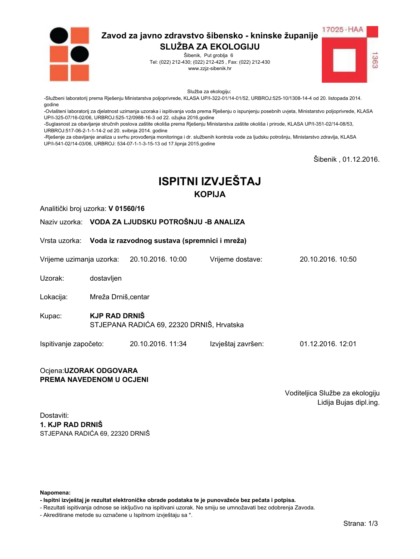

Šibenik, Put groblja 6 Tel: (022) 212-430; (022) 212-425, Fax: (022) 212-430 www.zzjz-sibenik.hr



Služba za ekologiju:

-Službeni laboratorij prema Rješenju Ministarstva poljoprivrede, KLASA UP/I-322-01/14-01/52, URBROJ:525-10/1308-14-4 od 20. listopada 2014. godine

-Ovlašteni laboratorij za djelatnost uzimanja uzoraka i ispitivanja voda prema Rješenju o ispunjenju posebnih uvjeta, Ministarstvo poljoprivrede, KLASA UP/I-325-07/16-02/06. URBROJ:525-12/0988-16-3 od 22. ožujka 2016.godine

-Suglasnost za obavljanje stručnih poslova zaštite okoliša prema Rješenju Ministarstva zaštite okoliša i prirode, KLASA UP/I-351-02/14-08/53, URBROJ:517-06-2-1-1-14-2 od 20. svibnja 2014. godine

-Rješenje za obavljanje analiza u svrhu provođenja monitoringa i dr. službenih kontrola vode za ljudsku potrošnju, Ministarstvo zdravlja, KLASA UP/I-541-02/14-03/06, URBROJ: 534-07-1-1-3-15-13 od 17.lipnja 2015.godine

Šibenik, 01.12.2016.

# **ISPITNI IZVJEŠTAJ KOPIJA**

Analitički broj uzorka: V 01560/16

Naziv uzorka: VODA ZA LJUDSKU POTROŠNJU - BANALIZA

Vrsta uzorka: Voda iz razvodnog sustava (spremnici i mreža)

Vrijeme uzimanja uzorka: 20.10.2016, 10:00 Vriieme dostave: 20 10 2016 10:50

Uzorak: dostavljen

Lokacija: Mreža Drniš.centar

- **KJP RAD DRNIŠ** Kupac: STJEPANA RADIĆA 69, 22320 DRNIŠ, Hrvatska
- Ispitivanje započeto: 20.10.2016. 11:34 Izvještaj završen: 01.12.2016. 12:01

#### Ocjena: UZORAK ODGOVARA PREMA NAVEDENOM U OCJENI

Voditeljica Službe za ekologiju Lidija Bujas dipl.ing.

Dostaviti: 1. KJP RAD DRNIŠ STJEPANA RADIĆA 69. 22320 DRNIŠ

Napomena:

- Ispitni izvještaj je rezultat elektroničke obrade podataka te je punovažeće bez pečata i potpisa.

- Rezultati ispitivanja odnose se isključivo na ispitivani uzorak. Ne smiju se umnožavati bez odobrenja Zavoda.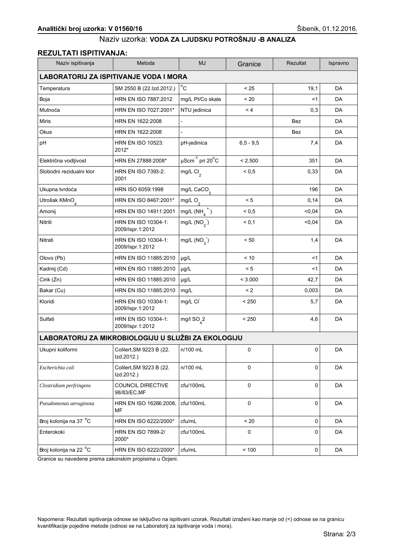### **REZULTATI ISPITIVANJA:**

| Naziv ispitivanja                      | Metoda                                              | <b>MJ</b>                             | Granice       | Rezultat   | Ispravno  |  |  |
|----------------------------------------|-----------------------------------------------------|---------------------------------------|---------------|------------|-----------|--|--|
| LABORATORIJ ZA ISPITIVANJE VODA I MORA |                                                     |                                       |               |            |           |  |  |
| Temperatura                            | SM 2550 B (22.Izd.2012.)                            | $^{\circ}$ C                          | < 25          | 19,1       | DA        |  |  |
| Boja                                   | HRN EN ISO 7887:2012                                | mg/L Pt/Co skale                      | < 20          | $<$ 1      | DA        |  |  |
| Mutnoća                                | HRN EN ISO 7027:2001*                               | NTU jedinica                          | < 4           | 0,3        | DA        |  |  |
| <b>Miris</b>                           | HRN EN 1622:2008                                    |                                       |               | <b>Bez</b> | DA        |  |  |
| Okus                                   | HRN EN 1622:2008                                    | $\overline{a}$                        |               | Bez        | DA        |  |  |
| pH                                     | <b>HRN EN ISO 10523:</b><br>2012*                   | pH-jedinica                           | $6, 5 - 9, 5$ | 7,4        | DA        |  |  |
| Električna vodljivost                  | HRN EN 27888:2008*                                  | $\mu$ Scm $^{-1}$ pri 20 $^{\circ}$ C | < 2.500       | 351        | DA        |  |  |
| Slobodni rezidualni klor               | <b>HRN EN ISO 7393-2:</b><br>2001                   | mg/L Cl <sub>2</sub>                  | ${}_{0.5}$    | 0,33       | DA        |  |  |
| Ukupna tvrdoća                         | HRN ISO 6059:1998                                   | mg/L $CaCO3$                          |               | 196        | DA        |  |  |
| Utrošak KMnO <sub>4</sub>              | HRN EN ISO 8467:2001*                               | mg/L $O_2$                            | < 5           | 0,14       | DA        |  |  |
| Amonij                                 | HRN EN ISO 14911:2001                               | mg/L $(NH_a^+)$                       | ${}_{0.5}$    | < 0,04     | DA        |  |  |
| Nitriti                                | HRN EN ISO 10304-1:<br>2009/Ispr.1:2012             | mg/L $(NO2)$                          | < 0.1         | < 0,04     | DA        |  |  |
| Nitrati                                | HRN EN ISO 10304-1:<br>2009/Ispr.1:2012             | mg/L $(NO_3)$                         | < 50          | 1,4        | DA        |  |  |
| Olovo (Pb)                             | HRN EN ISO 11885:2010                               | µg/L                                  | < 10          | <1         | DA        |  |  |
| Kadmij (Cd)                            | HRN EN ISO 11885:2010                               | µg/L                                  | < 5           | <1         | DA        |  |  |
| Cink (Zn)                              | HRN EN ISO 11885:2010                               | µg/L                                  | < 3.000       | 42,7       | DA        |  |  |
| Bakar (Cu)                             | HRN EN ISO 11885:2010                               | mg/L                                  | $\leq$ 2      | 0,003      | DA        |  |  |
| Kloridi                                | HRN EN ISO 10304-1:<br>2009/Ispr.1:2012             | mg/L CI                               | < 250         | 5,7        | DA        |  |  |
| Sulfati                                | HRN EN ISO 10304-1:<br>2009/Ispr.1:2012             | mg/l $SO_{4}^2$                       | < 250         | 4,6        | DA        |  |  |
|                                        | LABORATORIJ ZA MIKROBIOLOGIJU U SLUŽBI ZA EKOLOGIJU |                                       |               |            |           |  |  |
| Ukupni koliformi                       | Colilert, SM 9223 B (22.<br>Izd.2012.)              | n/100 mL                              | 0             | 0          | DA        |  |  |
| Escherichia coli                       | Colilert, SM 9223 B (22.<br>Izd.2012.)              | n/100 mL                              | $\mathbf 0$   | 0          | <b>DA</b> |  |  |
| Clostridium perfringens                | <b>COUNCIL DIRECTIVE</b><br>98/83/EC, MF            | cfu/100mL                             | 0             | 0          | DA        |  |  |
| Pseudomonas aeruginosa                 | HRN EN ISO 16266:2008.<br>MF                        | cfu/100mL                             | 0             | 0          | DA        |  |  |
| Broj kolonija na 37 °C                 | HRN EN ISO 6222/2000*                               | cfu/mL                                | < 20          | 0          | DA        |  |  |
| Enterokoki                             | <b>HRN EN ISO 7899-2/</b><br>2000*                  | cfu/100mL                             | 0             | 0          | DA        |  |  |
| Broj kolonija na 22 °C                 | HRN EN ISO 6222/2000*                               | cfu/mL                                | < 100         | 0          | DA        |  |  |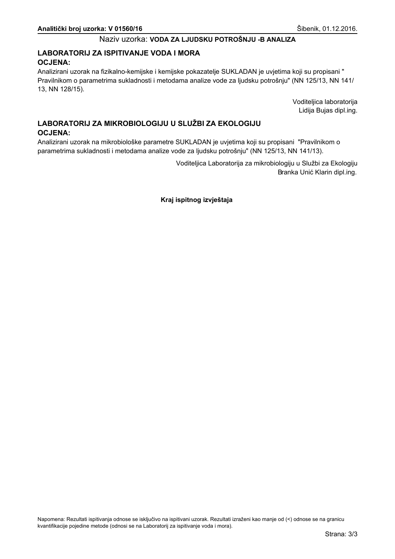## LABORATORIJ ZA ISPITIVANJE VODA I MORA **OCJENA:**

Analizirani uzorak na fizikalno-kemijske i kemijske pokazatelje SUKLADAN je uvjetima koji su propisani " Pravilnikom o parametrima sukladnosti i metodama analize vode za ljudsku potrošnju" (NN 125/13, NN 141/ 13, NN 128/15).

> Voditeljica laboratorija Lidija Bujas dipl.ing.

# LABORATORIJ ZA MIKROBIOLOGIJU U SLUŽBI ZA EKOLOGIJU **OCJENA:**

Analizirani uzorak na mikrobiološke parametre SUKLADAN je uvjetima koji su propisani "Pravilnikom o parametrima sukladnosti i metodama analize vode za ljudsku potrošnju" (NN 125/13, NN 141/13).

> Voditeljica Laboratorija za mikrobiologiju u Službi za Ekologiju Branka Unić Klarin dipl.ing.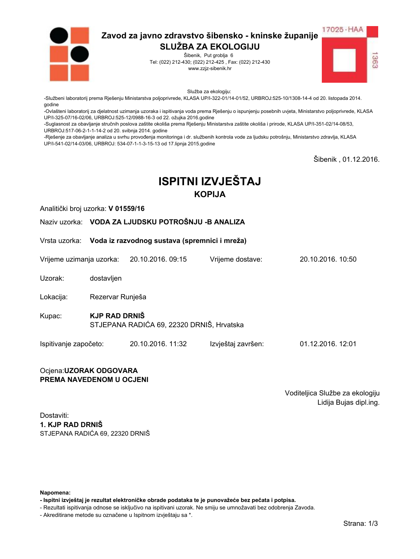

Šibenik, Put groblja 6 Tel: (022) 212-430; (022) 212-425, Fax: (022) 212-430 www.zzjz-sibenik.hr



Služba za ekologiju:

-Službeni laboratorij prema Rješenju Ministarstva poljoprivrede, KLASA UP/I-322-01/14-01/52, URBROJ:525-10/1308-14-4 od 20. listopada 2014. godine

-Ovlašteni laboratorij za djelatnost uzimanja uzoraka i ispitivanja voda prema Rješenju o ispunjenju posebnih uvjeta, Ministarstvo poljoprivrede, KLASA UP/I-325-07/16-02/06. URBROJ:525-12/0988-16-3 od 22. ožujka 2016.godine

-Suglasnost za obavljanje stručnih poslova zaštite okoliša prema Rješenju Ministarstva zaštite okoliša i prirode, KLASA UP/I-351-02/14-08/53, URBROJ:517-06-2-1-1-14-2 od 20. svibnja 2014. godine

-Rješenje za obavljanje analiza u svrhu provođenja monitoringa i dr. službenih kontrola vode za ljudsku potrošnju, Ministarstvo zdravlja, KLASA UP/I-541-02/14-03/06, URBROJ: 534-07-1-1-3-15-13 od 17.lipnja 2015.godine

Šibenik, 01.12.2016.

# **ISPITNI IZVJEŠTAJ KOPIJA**

Analitički broj uzorka: V 01559/16

Naziv uzorka: VODA ZA LJUDSKU POTROŠNJU - BANALIZA

Vrsta uzorka: Voda iz razvodnog sustava (spremnici i mreža)

Vrijeme uzimanja uzorka: 20.10.2016, 09:15 Vriieme dostave: 20 10 2016 10:50

Uzorak: dostavljen

Lokacija: Rezervar Runješa

**KJP RAD DRNIŠ** Kupac: STJEPANA RADIĆA 69, 22320 DRNIŠ, Hrvatska

Ispitivanje započeto: 20.10.2016. 11:32 Izvještaj završen: 01.12.2016. 12:01

#### Ocjena: UZORAK ODGOVARA PREMA NAVEDENOM U OCJENI

Voditeljica Službe za ekologiju Lidija Bujas dipl.ing.

Dostaviti: 1. KJP RAD DRNIŠ STJEPANA RADIĆA 69. 22320 DRNIŠ

Napomena:

- Ispitni izvještaj je rezultat elektroničke obrade podataka te je punovažeće bez pečata i potpisa.

- Rezultati ispitivanja odnose se isključivo na ispitivani uzorak. Ne smiju se umnožavati bez odobrenja Zavoda.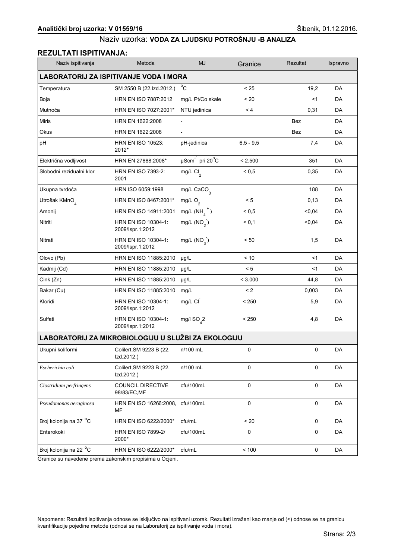## **REZULTATI ISPITIVANJA:**

| Naziv ispitivanja                             | Metoda                                              | <b>MJ</b>                             | Granice       | Rezultat   | Ispravno  |  |  |
|-----------------------------------------------|-----------------------------------------------------|---------------------------------------|---------------|------------|-----------|--|--|
| <b>LABORATORIJ ZA ISPITIVANJE VODA I MORA</b> |                                                     |                                       |               |            |           |  |  |
| Temperatura                                   | SM 2550 B (22.Izd.2012.)                            | $^{\circ}$ C                          | < 25          | 19,2       | DA        |  |  |
| Boja                                          | HRN EN ISO 7887:2012                                | mg/L Pt/Co skale                      | < 20          | $<$ 1      | DA        |  |  |
| Mutnoća                                       | HRN EN ISO 7027:2001*                               | NTU jedinica                          | < 4           | 0,31       | DA        |  |  |
| <b>Miris</b>                                  | HRN EN 1622:2008                                    |                                       |               | <b>Bez</b> | DA        |  |  |
| Okus                                          | HRN EN 1622:2008                                    | $\overline{a}$                        |               | Bez        | DA        |  |  |
| pH                                            | <b>HRN EN ISO 10523:</b><br>2012*                   | pH-jedinica                           | $6, 5 - 9, 5$ | 7,4        | DA        |  |  |
| Električna vodljivost                         | HRN EN 27888:2008*                                  | $\mu$ Scm $^{-1}$ pri 20 $^{\circ}$ C | < 2.500       | 351        | DA        |  |  |
| Slobodni rezidualni klor                      | <b>HRN EN ISO 7393-2:</b><br>2001                   | mg/L Cl <sub>2</sub>                  | ${}_{0.5}$    | 0,35       | DA        |  |  |
| Ukupna tvrdoća                                | HRN ISO 6059:1998                                   | mg/L $CaCO3$                          |               | 188        | DA        |  |  |
| Utrošak KMnO <sub>4</sub>                     | HRN EN ISO 8467:2001*                               | mg/L $O_2$                            | < 5           | 0, 13      | DA        |  |  |
| Amonij                                        | HRN EN ISO 14911:2001                               | mg/L $(NH_a^+)$                       | ${}_{0.5}$    | < 0,04     | DA        |  |  |
| Nitriti                                       | HRN EN ISO 10304-1:<br>2009/Ispr.1:2012             | mg/L $(NO2)$                          | < 0.1         | < 0,04     | DA        |  |  |
| Nitrati                                       | HRN EN ISO 10304-1:<br>2009/Ispr.1:2012             | mg/L $(NO_3)$                         | < 50          | 1,5        | DA        |  |  |
| Olovo (Pb)                                    | HRN EN ISO 11885:2010                               | µg/L                                  | < 10          | <1         | DA        |  |  |
| Kadmij (Cd)                                   | HRN EN ISO 11885:2010                               | µg/L                                  | < 5           | <1         | DA        |  |  |
| Cink (Zn)                                     | HRN EN ISO 11885:2010                               | µg/L                                  | < 3.000       | 44,8       | DA        |  |  |
| Bakar (Cu)                                    | HRN EN ISO 11885:2010                               | mg/L                                  | $\leq$ 2      | 0,003      | DA        |  |  |
| Kloridi                                       | HRN EN ISO 10304-1:<br>2009/Ispr.1:2012             | mg/L CI                               | < 250         | 5,9        | DA        |  |  |
| Sulfati                                       | HRN EN ISO 10304-1:<br>2009/Ispr.1:2012             | mg/l $SO_{4}^2$                       | < 250         | 4,8        | DA        |  |  |
|                                               | LABORATORIJ ZA MIKROBIOLOGIJU U SLUŽBI ZA EKOLOGIJU |                                       |               |            |           |  |  |
| Ukupni koliformi                              | Colilert, SM 9223 B (22.<br>Izd.2012.)              | n/100 mL                              | 0             | 0          | DA        |  |  |
| Escherichia coli                              | Colilert, SM 9223 B (22.<br>Izd.2012.)              | n/100 mL                              | $\mathbf 0$   | 0          | <b>DA</b> |  |  |
| Clostridium perfringens                       | <b>COUNCIL DIRECTIVE</b><br>98/83/EC, MF            | cfu/100mL                             | 0             | 0          | DA        |  |  |
| Pseudomonas aeruginosa                        | HRN EN ISO 16266:2008.<br>MF                        | cfu/100mL                             | 0             | 0          | DA        |  |  |
| Broj kolonija na 37 °C                        | HRN EN ISO 6222/2000*                               | cfu/mL                                | < 20          | 0          | DA        |  |  |
| Enterokoki                                    | <b>HRN EN ISO 7899-2/</b><br>2000*                  | cfu/100mL                             | 0             | 0          | DA        |  |  |
| Broj kolonija na 22 °C                        | HRN EN ISO 6222/2000*                               | cfu/mL                                | < 100         | 0          | DA        |  |  |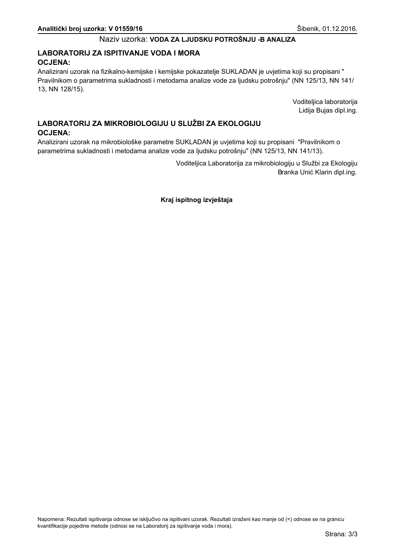## LABORATORIJ ZA ISPITIVANJE VODA I MORA **OCJENA:**

Analizirani uzorak na fizikalno-kemijske i kemijske pokazatelje SUKLADAN je uvjetima koji su propisani " Pravilnikom o parametrima sukladnosti i metodama analize vode za ljudsku potrošnju" (NN 125/13, NN 141/ 13, NN 128/15).

> Voditeljica laboratorija Lidija Bujas dipl.ing.

# LABORATORIJ ZA MIKROBIOLOGIJU U SLUŽBI ZA EKOLOGIJU **OCJENA:**

Analizirani uzorak na mikrobiološke parametre SUKLADAN je uvjetima koji su propisani "Pravilnikom o parametrima sukladnosti i metodama analize vode za ljudsku potrošnju" (NN 125/13, NN 141/13).

> Voditeljica Laboratorija za mikrobiologiju u Službi za Ekologiju Branka Unić Klarin dipl.ing.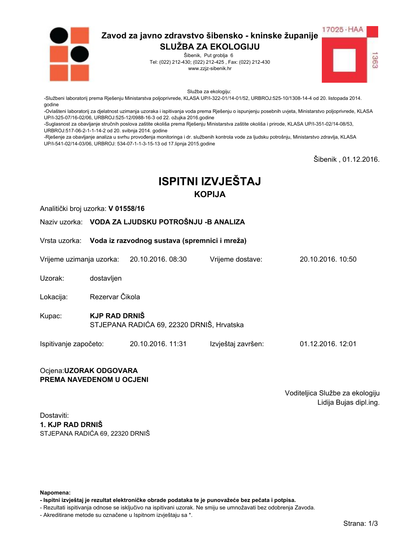

Šibenik, Put groblja 6 Tel: (022) 212-430; (022) 212-425, Fax: (022) 212-430 www.zzjz-sibenik.hr



Služba za ekologiju:

-Službeni laboratorij prema Rješenju Ministarstva poljoprivrede, KLASA UP/I-322-01/14-01/52, URBROJ:525-10/1308-14-4 od 20. listopada 2014. godine

-Ovlašteni laboratorij za djelatnost uzimanja uzoraka i ispitivanja voda prema Rješenju o ispunjenju posebnih uvjeta, Ministarstvo poljoprivrede, KLASA UP/I-325-07/16-02/06. URBROJ:525-12/0988-16-3 od 22. ožujka 2016.godine

-Suglasnost za obavljanje stručnih poslova zaštite okoliša prema Rješenju Ministarstva zaštite okoliša i prirode, KLASA UP/I-351-02/14-08/53, URBROJ:517-06-2-1-1-14-2 od 20. svibnja 2014. godine

-Rješenje za obavljanje analiza u svrhu provođenja monitoringa i dr. službenih kontrola vode za ljudsku potrošnju, Ministarstvo zdravlja, KLASA UP/I-541-02/14-03/06, URBROJ: 534-07-1-1-3-15-13 od 17.lipnja 2015.godine

Šibenik, 01.12.2016.

# **ISPITNI IZVJEŠTAJ KOPIJA**

Analitički broj uzorka: V 01558/16

Naziv uzorka: VODA ZA LJUDSKU POTROŠNJU - BANALIZA

Vrsta uzorka: Voda iz razvodnog sustava (spremnici i mreža)

Vrijeme uzimanja uzorka: 20.10.2016, 08:30 Vriieme dostave: 20 10 2016 10:50

Uzorak: dostavljen

Rezervar Čikola Lokacija:

- **KJP RAD DRNIŠ** Kupac: STJEPANA RADIĆA 69, 22320 DRNIŠ, Hrvatska
- Ispitivanje započeto: 20.10.2016. 11:31 Izvještaj završen: 01.12.2016. 12:01

#### Ocjena: UZORAK ODGOVARA PREMA NAVEDENOM U OCJENI

Voditeljica Službe za ekologiju Lidija Bujas dipl.ing.

Dostaviti: 1. KJP RAD DRNIŠ STJEPANA RADIĆA 69. 22320 DRNIŠ

Napomena:

- Ispitni izvještaj je rezultat elektroničke obrade podataka te je punovažeće bez pečata i potpisa.

- Rezultati ispitivanja odnose se isključivo na ispitivani uzorak. Ne smiju se umnožavati bez odobrenja Zavoda.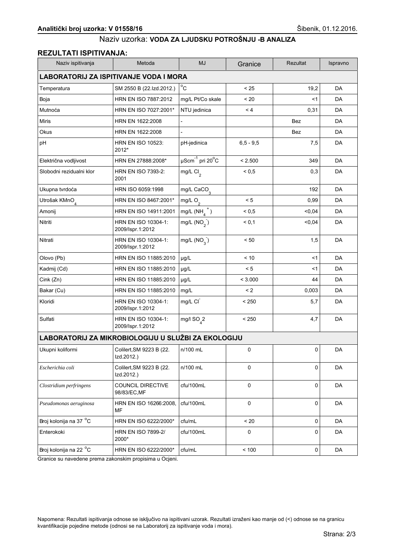## **REZULTATI ISPITIVANJA:**

| Naziv ispitivanja                             | Metoda                                              | <b>MJ</b>                             | Granice       | Rezultat   | Ispravno  |  |  |
|-----------------------------------------------|-----------------------------------------------------|---------------------------------------|---------------|------------|-----------|--|--|
| <b>LABORATORIJ ZA ISPITIVANJE VODA I MORA</b> |                                                     |                                       |               |            |           |  |  |
| Temperatura                                   | SM 2550 B (22.Izd.2012.)                            | $^{\circ}$ C                          | < 25          | 19,2       | DA        |  |  |
| Boja                                          | HRN EN ISO 7887:2012                                | mg/L Pt/Co skale                      | < 20          | $<$ 1      | DA        |  |  |
| Mutnoća                                       | HRN EN ISO 7027:2001*                               | NTU jedinica                          | < 4           | 0,31       | DA        |  |  |
| <b>Miris</b>                                  | HRN EN 1622:2008                                    |                                       |               | <b>Bez</b> | DA        |  |  |
| Okus                                          | HRN EN 1622:2008                                    | $\overline{a}$                        |               | Bez        | DA        |  |  |
| pH                                            | <b>HRN EN ISO 10523:</b><br>2012*                   | pH-jedinica                           | $6, 5 - 9, 5$ | 7,5        | DA        |  |  |
| Električna vodljivost                         | HRN EN 27888:2008*                                  | $\mu$ Scm $^{-1}$ pri 20 $^{\circ}$ C | < 2.500       | 349        | DA        |  |  |
| Slobodni rezidualni klor                      | <b>HRN EN ISO 7393-2:</b><br>2001                   | mg/L Cl <sub>2</sub>                  | ${}_{0.5}$    | 0,3        | DA        |  |  |
| Ukupna tvrdoća                                | HRN ISO 6059:1998                                   | mg/L $CaCO3$                          |               | 192        | DA        |  |  |
| Utrošak KMnO <sub>4</sub>                     | HRN EN ISO 8467:2001*                               | mg/L $O_2$                            | < 5           | 0,99       | DA        |  |  |
| Amonij                                        | HRN EN ISO 14911:2001                               | $mg/L(NH_4^+)$                        | ${}_{0.5}$    | < 0.04     | DA        |  |  |
| Nitriti                                       | HRN EN ISO 10304-1:<br>2009/Ispr.1:2012             | mg/L $(NO2)$                          | < 0.1         | < 0,04     | DA        |  |  |
| Nitrati                                       | HRN EN ISO 10304-1:<br>2009/Ispr.1:2012             | mg/L $(NO_3)$                         | < 50          | 1,5        | DA        |  |  |
| Olovo (Pb)                                    | HRN EN ISO 11885:2010                               | µg/L                                  | < 10          | <1         | DA        |  |  |
| Kadmij (Cd)                                   | HRN EN ISO 11885:2010                               | µg/L                                  | < 5           | <1         | DA        |  |  |
| Cink (Zn)                                     | HRN EN ISO 11885:2010                               | µg/L                                  | < 3.000       | 44         | DA        |  |  |
| Bakar (Cu)                                    | HRN EN ISO 11885:2010                               | mg/L                                  | $\leq$ 2      | 0,003      | DA        |  |  |
| Kloridi                                       | HRN EN ISO 10304-1:<br>2009/Ispr.1:2012             | mg/L CI                               | < 250         | 5,7        | DA        |  |  |
| Sulfati                                       | HRN EN ISO 10304-1:<br>2009/Ispr.1:2012             | mg/l $SO_{4}^2$                       | < 250         | 4,7        | DA        |  |  |
|                                               | LABORATORIJ ZA MIKROBIOLOGIJU U SLUŽBI ZA EKOLOGIJU |                                       |               |            |           |  |  |
| Ukupni koliformi                              | Colilert, SM 9223 B (22.<br>Izd.2012.)              | n/100 mL                              | 0             | 0          | DA        |  |  |
| Escherichia coli                              | Colilert, SM 9223 B (22.<br>Izd.2012.)              | n/100 mL                              | $\mathbf 0$   | 0          | <b>DA</b> |  |  |
| Clostridium perfringens                       | <b>COUNCIL DIRECTIVE</b><br>98/83/EC, MF            | cfu/100mL                             | 0             | 0          | DA        |  |  |
| Pseudomonas aeruginosa                        | HRN EN ISO 16266:2008.<br>MF                        | cfu/100mL                             | 0             | 0          | DA        |  |  |
| Broj kolonija na 37 °C                        | HRN EN ISO 6222/2000*                               | cfu/mL                                | < 20          | 0          | DA        |  |  |
| Enterokoki                                    | <b>HRN EN ISO 7899-2/</b><br>2000*                  | cfu/100mL                             | 0             | 0          | DA        |  |  |
| Broj kolonija na 22 °C                        | HRN EN ISO 6222/2000*                               | cfu/mL                                | < 100         | 0          | DA        |  |  |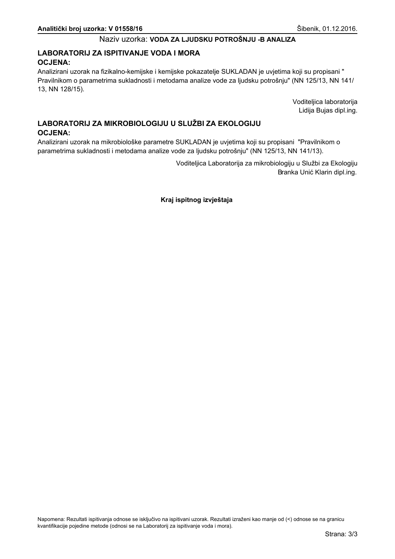## LABORATORIJ ZA ISPITIVANJE VODA I MORA **OCJENA:**

Analizirani uzorak na fizikalno-kemijske i kemijske pokazatelje SUKLADAN je uvjetima koji su propisani " Pravilnikom o parametrima sukladnosti i metodama analize vode za ljudsku potrošnju" (NN 125/13, NN 141/ 13, NN 128/15).

> Voditeljica laboratorija Lidija Bujas dipl.ing.

# LABORATORIJ ZA MIKROBIOLOGIJU U SLUŽBI ZA EKOLOGIJU **OCJENA:**

Analizirani uzorak na mikrobiološke parametre SUKLADAN je uvjetima koji su propisani "Pravilnikom o parametrima sukladnosti i metodama analize vode za ljudsku potrošnju" (NN 125/13, NN 141/13).

> Voditeljica Laboratorija za mikrobiologiju u Službi za Ekologiju Branka Unić Klarin dipl.ing.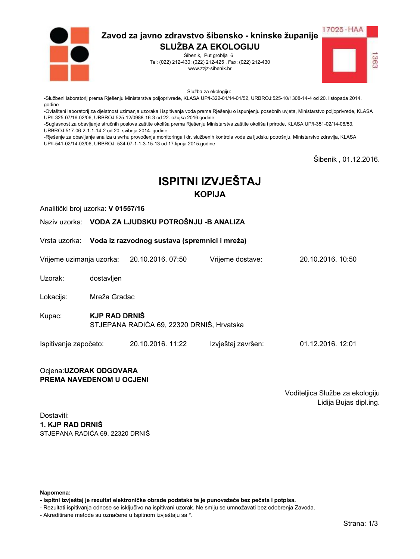

Šibenik, Put groblja 6 Tel: (022) 212-430; (022) 212-425, Fax: (022) 212-430 www.zzjz-sibenik.hr



Služba za ekologiju:

-Službeni laboratorij prema Rješenju Ministarstva poljoprivrede, KLASA UP/I-322-01/14-01/52, URBROJ:525-10/1308-14-4 od 20. listopada 2014. godine

-Ovlašteni laboratorij za djelatnost uzimanja uzoraka i ispitivanja voda prema Rješenju o ispunjenju posebnih uvjeta, Ministarstvo poljoprivrede, KLASA UP/I-325-07/16-02/06. URBROJ:525-12/0988-16-3 od 22. ožujka 2016.godine

-Suglasnost za obavljanje stručnih poslova zaštite okoliša prema Rješenju Ministarstva zaštite okoliša i prirode, KLASA UP/I-351-02/14-08/53, URBROJ:517-06-2-1-1-14-2 od 20. svibnja 2014. godine

-Rješenje za obavljanje analiza u svrhu provođenja monitoringa i dr. službenih kontrola vode za ljudsku potrošnju, Ministarstvo zdravlja, KLASA UP/I-541-02/14-03/06, URBROJ: 534-07-1-1-3-15-13 od 17.lipnja 2015.godine

Šibenik, 01.12.2016.

# **ISPITNI IZVJEŠTAJ KOPIJA**

Analitički broj uzorka: V 01557/16

Naziv uzorka: VODA ZA LJUDSKU POTROŠNJU - BANALIZA

Vrsta uzorka: Voda iz razvodnog sustava (spremnici i mreža)

Vrijeme uzimanja uzorka: 20.10.2016, 07:50 Vriieme dostave: 20 10 2016 10:50

Uzorak: dostavljen

Mreža Gradac Lokacija:

**KJP RAD DRNIŠ** Kupac: STJEPANA RADIĆA 69, 22320 DRNIŠ, Hrvatska

Ispitivanje započeto: 20.10.2016. 11:22 Izvještaj završen: 01.12.2016. 12:01

#### Ocjena: UZORAK ODGOVARA PREMA NAVEDENOM U OCJENI

Voditeljica Službe za ekologiju Lidija Bujas dipl.ing.

Dostaviti: 1. KJP RAD DRNIŠ STJEPANA RADIĆA 69. 22320 DRNIŠ

Napomena:

- Ispitni izvještaj je rezultat elektroničke obrade podataka te je punovažeće bez pečata i potpisa.

- Rezultati ispitivanja odnose se isključivo na ispitivani uzorak. Ne smiju se umnožavati bez odobrenja Zavoda.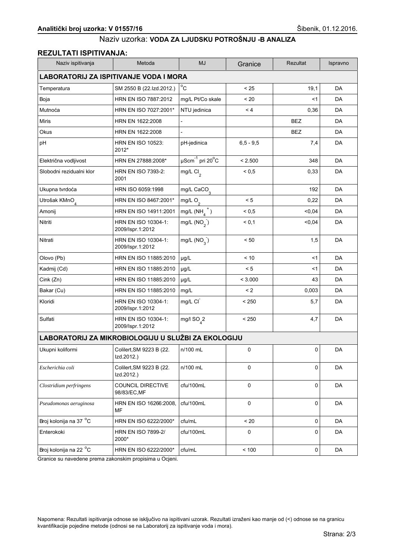## **REZULTATI ISPITIVANJA:**

| Naziv ispitivanja                             | Metoda                                              | <b>MJ</b>                             | Granice       | Rezultat   | Ispravno  |  |  |
|-----------------------------------------------|-----------------------------------------------------|---------------------------------------|---------------|------------|-----------|--|--|
| <b>LABORATORIJ ZA ISPITIVANJE VODA I MORA</b> |                                                     |                                       |               |            |           |  |  |
| Temperatura                                   | SM 2550 B (22.Izd.2012.)                            | $^{\circ}$ C                          | < 25          | 19,1       | DA        |  |  |
| Boja                                          | HRN EN ISO 7887:2012                                | mg/L Pt/Co skale                      | < 20          | $<$ 1      | DA        |  |  |
| Mutnoća                                       | HRN EN ISO 7027:2001*                               | NTU jedinica                          | < 4           | 0,36       | DA        |  |  |
| <b>Miris</b>                                  | HRN EN 1622:2008                                    |                                       |               | <b>BEZ</b> | DA        |  |  |
| Okus                                          | HRN EN 1622:2008                                    | $\overline{a}$                        |               | <b>BEZ</b> | DA        |  |  |
| pH                                            | <b>HRN EN ISO 10523:</b><br>2012*                   | pH-jedinica                           | $6, 5 - 9, 5$ | 7,4        | DA        |  |  |
| Električna vodljivost                         | HRN EN 27888:2008*                                  | $\mu$ Scm $^{-1}$ pri 20 $^{\circ}$ C | < 2.500       | 348        | DA        |  |  |
| Slobodni rezidualni klor                      | <b>HRN EN ISO 7393-2:</b><br>2001                   | mg/L Cl <sub>2</sub>                  | ${}_{0.5}$    | 0,33       | DA        |  |  |
| Ukupna tvrdoća                                | HRN ISO 6059:1998                                   | mg/L $CaCO3$                          |               | 192        | DA        |  |  |
| Utrošak KMnO <sub>4</sub>                     | HRN EN ISO 8467:2001*                               | mg/L $O_2$                            | < 5           | 0,22       | DA        |  |  |
| Amonij                                        | HRN EN ISO 14911:2001                               | $mg/L(NH_4^+)$                        | ${}_{0.5}$    | < 0,04     | DA        |  |  |
| Nitriti                                       | HRN EN ISO 10304-1:<br>2009/Ispr.1:2012             | mg/L $(NO2)$                          | < 0.1         | < 0,04     | DA        |  |  |
| Nitrati                                       | HRN EN ISO 10304-1:<br>2009/Ispr.1:2012             | mg/L $(NO_3)$                         | < 50          | 1,5        | DA        |  |  |
| Olovo (Pb)                                    | HRN EN ISO 11885:2010                               | µg/L                                  | < 10          | <1         | DA        |  |  |
| Kadmij (Cd)                                   | HRN EN ISO 11885:2010                               | µg/L                                  | < 5           | <1         | DA        |  |  |
| Cink (Zn)                                     | HRN EN ISO 11885:2010                               | µg/L                                  | < 3.000       | 43         | DA        |  |  |
| Bakar (Cu)                                    | HRN EN ISO 11885:2010                               | mg/L                                  | $\leq$ 2      | 0,003      | DA        |  |  |
| Kloridi                                       | HRN EN ISO 10304-1:<br>2009/Ispr.1:2012             | mg/L CI                               | < 250         | 5,7        | DA        |  |  |
| Sulfati                                       | HRN EN ISO 10304-1:<br>2009/Ispr.1:2012             | mg/l $SO_{4}^2$                       | < 250         | 4,7        | DA        |  |  |
|                                               | LABORATORIJ ZA MIKROBIOLOGIJU U SLUŽBI ZA EKOLOGIJU |                                       |               |            |           |  |  |
| Ukupni koliformi                              | Colilert, SM 9223 B (22.<br>Izd.2012.)              | n/100 mL                              | 0             | 0          | DA        |  |  |
| Escherichia coli                              | Colilert, SM 9223 B (22.<br>Izd.2012.)              | n/100 mL                              | $\mathbf 0$   | 0          | <b>DA</b> |  |  |
| Clostridium perfringens                       | <b>COUNCIL DIRECTIVE</b><br>98/83/EC, MF            | cfu/100mL                             | 0             | 0          | DA        |  |  |
| Pseudomonas aeruginosa                        | HRN EN ISO 16266:2008.<br>MF                        | cfu/100mL                             | 0             | 0          | DA        |  |  |
| Broj kolonija na 37 °C                        | HRN EN ISO 6222/2000*                               | cfu/mL                                | < 20          | 0          | DA        |  |  |
| Enterokoki                                    | <b>HRN EN ISO 7899-2/</b><br>2000*                  | cfu/100mL                             | 0             | 0          | DA        |  |  |
| Broj kolonija na 22 °C                        | HRN EN ISO 6222/2000*                               | cfu/mL                                | < 100         | 0          | DA        |  |  |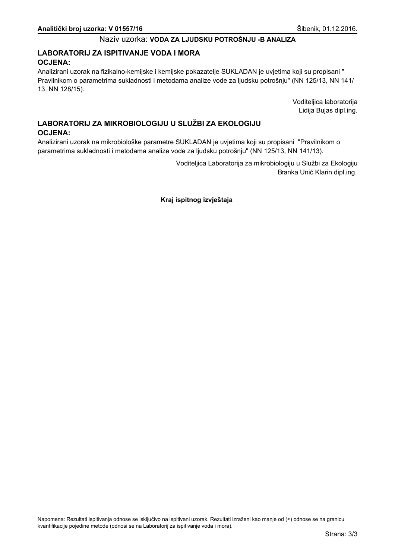## LABORATORIJ ZA ISPITIVANJE VODA I MORA **OCJENA:**

Analizirani uzorak na fizikalno-kemijske i kemijske pokazatelje SUKLADAN je uvjetima koji su propisani " Pravilnikom o parametrima sukladnosti i metodama analize vode za ljudsku potrošnju" (NN 125/13, NN 141/ 13, NN 128/15).

> Voditeljica laboratorija Lidija Bujas dipl.ing.

# LABORATORIJ ZA MIKROBIOLOGIJU U SLUŽBI ZA EKOLOGIJU **OCJENA:**

Analizirani uzorak na mikrobiološke parametre SUKLADAN je uvjetima koji su propisani "Pravilnikom o parametrima sukladnosti i metodama analize vode za ljudsku potrošnju" (NN 125/13, NN 141/13).

> Voditeljica Laboratorija za mikrobiologiju u Službi za Ekologiju Branka Unić Klarin dipl.ing.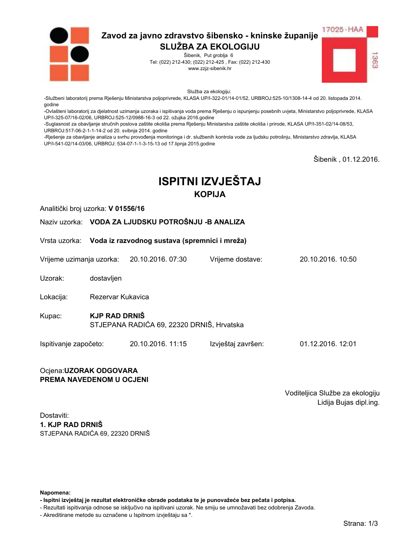

Šibenik, Put groblja 6 Tel: (022) 212-430; (022) 212-425, Fax: (022) 212-430 www.zzjz-sibenik.hr



Služba za ekologiju:

-Službeni laboratorij prema Rješenju Ministarstva poljoprivrede, KLASA UP/I-322-01/14-01/52, URBROJ:525-10/1308-14-4 od 20. listopada 2014. godine

-Ovlašteni laboratorij za djelatnost uzimanja uzoraka i ispitivanja voda prema Rješenju o ispunjenju posebnih uvjeta, Ministarstvo poljoprivrede, KLASA UP/I-325-07/16-02/06. URBROJ:525-12/0988-16-3 od 22. ožujka 2016.godine

-Suglasnost za obavljanje stručnih poslova zaštite okoliša prema Rješenju Ministarstva zaštite okoliša i prirode, KLASA UP/I-351-02/14-08/53, URBROJ:517-06-2-1-1-14-2 od 20. svibnja 2014. godine

-Rješenje za obavljanje analiza u svrhu provođenja monitoringa i dr. službenih kontrola vode za ljudsku potrošnju, Ministarstvo zdravlja, KLASA UP/I-541-02/14-03/06, URBROJ: 534-07-1-1-3-15-13 od 17.lipnja 2015.godine

Šibenik, 01.12.2016.

# **ISPITNI IZVJEŠTAJ KOPIJA**

Analitički broj uzorka: V 01556/16

Naziv uzorka: VODA ZA LJUDSKU POTROŠNJU - BANALIZA

Vrsta uzorka: Voda iz razvodnog sustava (spremnici i mreža)

Vrijeme uzimanja uzorka: 20.10.2016, 07:30 Vriieme dostave: 20 10 2016 10:50

Uzorak: dostavljen

Lokacija: Rezervar Kukavica

- **KJP RAD DRNIŠ** Kupac: STJEPANA RADIĆA 69, 22320 DRNIŠ, Hrvatska
- Ispitivanje započeto: 20.10.2016. 11:15 Izvještaj završen: 01.12.2016. 12:01

#### Ocjena: UZORAK ODGOVARA PREMA NAVEDENOM U OCJENI

Voditeljica Službe za ekologiju Lidija Bujas dipl.ing.

Dostaviti: 1. KJP RAD DRNIŠ STJEPANA RADIĆA 69. 22320 DRNIŠ

Napomena:

- Ispitni izvještaj je rezultat elektroničke obrade podataka te je punovažeće bez pečata i potpisa.

- Rezultati ispitivanja odnose se isključivo na ispitivani uzorak. Ne smiju se umnožavati bez odobrenja Zavoda.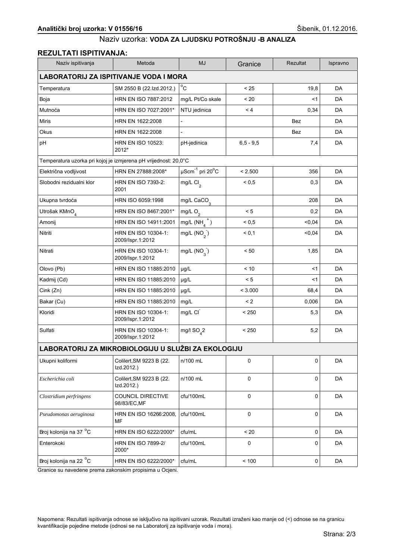## **REZULTATI ISPITIVANJA:**

| Naziv ispitivanja                                               | Metoda                                   | <b>MJ</b>                                     | Granice           | Rezultat   | Ispravno |  |  |
|-----------------------------------------------------------------|------------------------------------------|-----------------------------------------------|-------------------|------------|----------|--|--|
| LABORATORIJ ZA ISPITIVANJE VODA I MORA                          |                                          |                                               |                   |            |          |  |  |
| Temperatura                                                     | SM 2550 B (22.Izd.2012.)                 | $^{\circ}$ C                                  | < 25              | 19,8       | DA       |  |  |
| Boja                                                            | HRN EN ISO 7887:2012                     | mg/L Pt/Co skale                              | < 20              | $<$ 1      | DA       |  |  |
| Mutnoća                                                         | HRN EN ISO 7027:2001*                    | NTU jedinica                                  | < 4               | 0,34       | DA       |  |  |
| <b>Miris</b>                                                    | HRN EN 1622:2008                         |                                               |                   | <b>Bez</b> | DA       |  |  |
| Okus                                                            | HRN EN 1622:2008                         | $\overline{a}$                                |                   | <b>Bez</b> | DA       |  |  |
| pH                                                              | <b>HRN EN ISO 10523:</b><br>2012*        | pH-jedinica                                   | $6, 5 - 9, 5$     | 7,4        | DA       |  |  |
| Temperatura uzorka pri kojoj je izmjerena pH vrijednost: 20,0°C |                                          |                                               |                   |            |          |  |  |
| Električna vodljivost                                           | HRN EN 27888:2008*                       | $\mu$ Scm <sup>-1</sup> pri 20 <sup>°</sup> C | < 2.500           | 356        | DA       |  |  |
| Slobodni rezidualni klor                                        | <b>HRN EN ISO 7393-2:</b><br>2001        | mg/L $Cl2$                                    | ${}_{0.5}$        | 0,3        | DA       |  |  |
| Ukupna tvrdoća                                                  | HRN ISO 6059:1998                        | mg/L CaCO <sub>3</sub>                        |                   | 208        | DA       |  |  |
| Utrošak KMnO <sub>4</sub>                                       | HRN EN ISO 8467:2001*                    | mg/L $O2$                                     | < 5               | 0,2        | DA       |  |  |
| Amonij                                                          | HRN EN ISO 14911:2001                    | mg/L $(NH_4^+)$                               | ${}^{5}$ ${}^{0}$ | < 0,04     | DA       |  |  |
| Nitriti                                                         | HRN EN ISO 10304-1:<br>2009/Ispr.1:2012  | mg/L $(NO2)$                                  | < 0,1             | < 0.04     | DA       |  |  |
| Nitrati                                                         | HRN EN ISO 10304-1:<br>2009/Ispr.1:2012  | mg/L $(NO2)$                                  | < 50              | 1,85       | DA       |  |  |
| Olovo (Pb)                                                      | HRN EN ISO 11885:2010                    | µg/L                                          | < 10              | $<$ 1      | DA       |  |  |
| Kadmij (Cd)                                                     | HRN EN ISO 11885:2010                    | µg/L                                          | < 5               | $<$ 1      | DA       |  |  |
| Cink (Zn)                                                       | HRN EN ISO 11885:2010                    | µg/L                                          | < 3.000           | 68,4       | DA       |  |  |
| Bakar (Cu)                                                      | HRN EN ISO 11885:2010                    | mg/L                                          | $\leq$ 2          | 0,006      | DA       |  |  |
| Kloridi                                                         | HRN EN ISO 10304-1:<br>2009/Ispr.1:2012  | mg/L CI                                       | < 250             | 5,3        | DA       |  |  |
| Sulfati                                                         | HRN EN ISO 10304-1:<br>2009/Ispr.1:2012  | mg/l $SO_{4}^2$                               | < 250             | 5,2        | DA       |  |  |
| LABORATORIJ ZA MIKROBIOLOGIJU U SLUŽBI ZA EKOLOGIJU             |                                          |                                               |                   |            |          |  |  |
| Ukupni koliformi                                                | Colilert, SM 9223 B (22.<br>Izd.2012.)   | n/100 mL                                      | 0                 | 0          | DA       |  |  |
| Escherichia coli                                                | Colilert, SM 9223 B (22.<br>Izd.2012.)   | n/100 mL                                      | $\mathbf 0$       | 0          | DA       |  |  |
| Clostridium perfringens                                         | <b>COUNCIL DIRECTIVE</b><br>98/83/EC, MF | cfu/100mL                                     | $\mathbf 0$       | 0          | DA       |  |  |
| Pseudomonas aeruginosa                                          | HRN EN ISO 16266:2008,<br>MF             | cfu/100mL                                     | $\pmb{0}$         | 0          | DA       |  |  |
| Broj kolonija na 37 °C                                          | HRN EN ISO 6222/2000*                    | cfu/mL                                        | $< 20$            | 0          | DA       |  |  |
| Enterokoki                                                      | HRN EN ISO 7899-2/<br>2000*              | cfu/100mL                                     | $\mathbf 0$       | 0          | DA       |  |  |
| Broj kolonija na 22 °C                                          | HRN EN ISO 6222/2000*                    | cfu/mL                                        | < 100             | 0          | DA       |  |  |

Granice su navedene prema zakonskim propisima u Ocjeni.

Napomena: Rezultati ispitivanja odnose se isključivo na ispitivani uzorak. Rezultati izraženi kao manje od (<) odnose se na granicu kvantifikacije pojedine metode (odnosi se na Laboratorij za ispitivanje voda i mora).